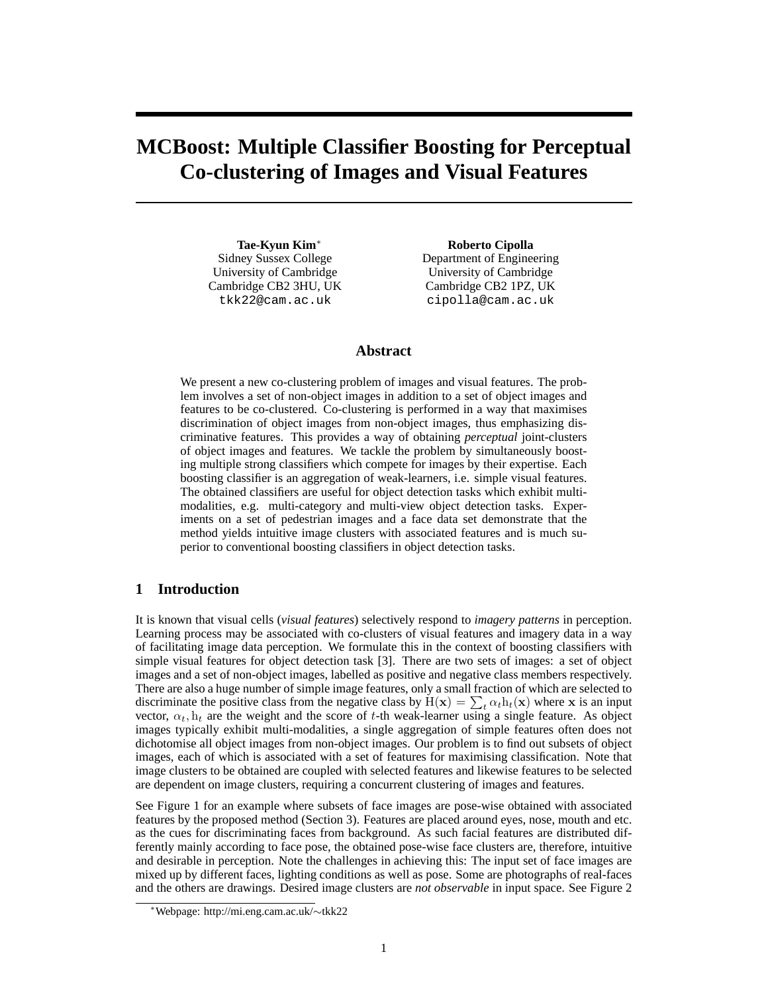# **MCBoost: Multiple Classifier Boosting for Perceptual Co-clustering of Images and Visual Features**

**Tae-Kyun Kim**<sup>∗</sup> Sidney Sussex College University of Cambridge Cambridge CB2 3HU, UK tkk22@cam.ac.uk

**Roberto Cipolla** Department of Engineering University of Cambridge Cambridge CB2 1PZ, UK cipolla@cam.ac.uk

### **Abstract**

We present a new co-clustering problem of images and visual features. The problem involves a set of non-object images in addition to a set of object images and features to be co-clustered. Co-clustering is performed in a way that maximises discrimination of object images from non-object images, thus emphasizing discriminative features. This provides a way of obtaining *perceptual* joint-clusters of object images and features. We tackle the problem by simultaneously boosting multiple strong classifiers which compete for images by their expertise. Each boosting classifier is an aggregation of weak-learners, i.e. simple visual features. The obtained classifiers are useful for object detection tasks which exhibit multimodalities, e.g. multi-category and multi-view object detection tasks. Experiments on a set of pedestrian images and a face data set demonstrate that the method yields intuitive image clusters with associated features and is much superior to conventional boosting classifiers in object detection tasks.

# **1 Introduction**

It is known that visual cells (*visual features*) selectively respond to *imagery patterns* in perception. Learning process may be associated with co-clusters of visual features and imagery data in a way of facilitating image data perception. We formulate this in the context of boosting classifiers with simple visual features for object detection task [3]. There are two sets of images: a set of object images and a set of non-object images, labelled as positive and negative class members respectively. There are also a huge number of simple image features, only a small fraction of which are selected to discriminate the positive class from the negative class by  $H(x) = \sum_t \alpha_t h_t(x)$  where x is an input vector,  $\alpha_t$ ,  $h_t$  are the weight and the score of t-th weak-learner using a single feature. As object images typically exhibit multi-modalities, a single aggregation of simple features often does not dichotomise all object images from non-object images. Our problem is to find out subsets of object images, each of which is associated with a set of features for maximising classification. Note that image clusters to be obtained are coupled with selected features and likewise features to be selected are dependent on image clusters, requiring a concurrent clustering of images and features.

See Figure 1 for an example where subsets of face images are pose-wise obtained with associated features by the proposed method (Section 3). Features are placed around eyes, nose, mouth and etc. as the cues for discriminating faces from background. As such facial features are distributed differently mainly according to face pose, the obtained pose-wise face clusters are, therefore, intuitive and desirable in perception. Note the challenges in achieving this: The input set of face images are mixed up by different faces, lighting conditions as well as pose. Some are photographs of real-faces and the others are drawings. Desired image clusters are *not observable* in input space. See Figure 2

<sup>∗</sup>Webpage: http://mi.eng.cam.ac.uk/∼tkk22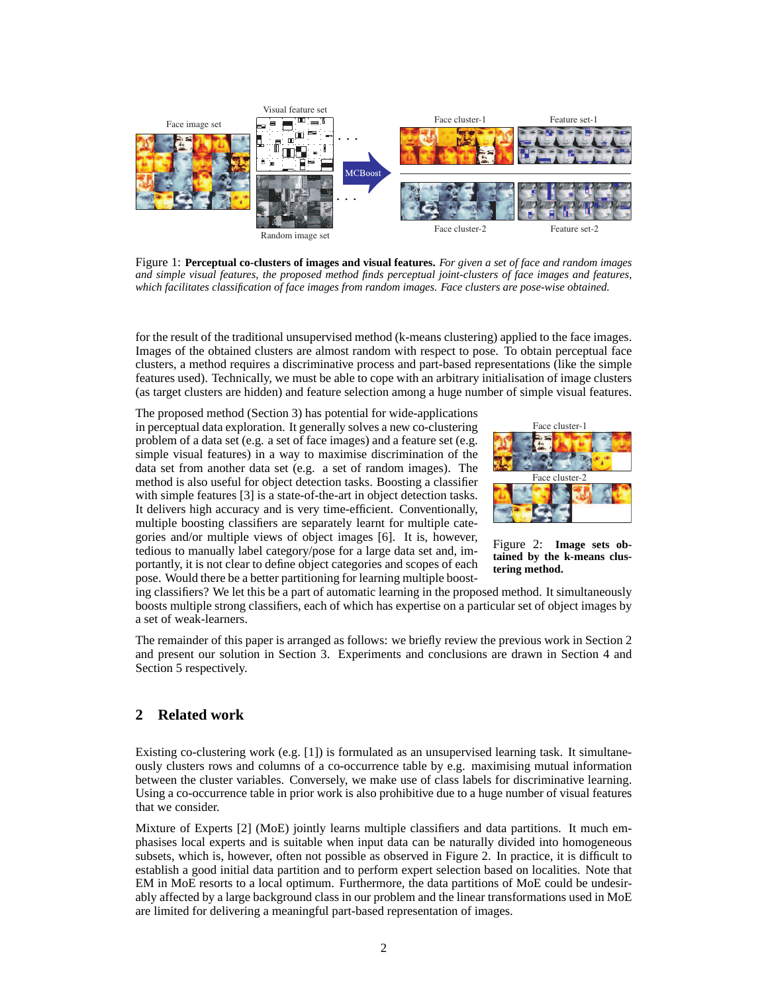

Figure 1: **Perceptual co-clusters of images and visual features.** *For given a set of face and random images and simple visual features, the proposed method finds perceptual joint-clusters of face images and features, which facilitates classification of face images from random images. Face clusters are pose-wise obtained.*

for the result of the traditional unsupervised method (k-means clustering) applied to the face images. Images of the obtained clusters are almost random with respect to pose. To obtain perceptual face clusters, a method requires a discriminative process and part-based representations (like the simple features used). Technically, we must be able to cope with an arbitrary initialisation of image clusters (as target clusters are hidden) and feature selection among a huge number of simple visual features.

The proposed method (Section 3) has potential for wide-applications in perceptual data exploration. It generally solves a new co-clustering problem of a data set (e.g. a set of face images) and a feature set (e.g. simple visual features) in a way to maximise discrimination of the data set from another data set (e.g. a set of random images). The method is also useful for object detection tasks. Boosting a classifier with simple features [3] is a state-of-the-art in object detection tasks. It delivers high accuracy and is very time-efficient. Conventionally, multiple boosting classifiers are separately learnt for multiple categories and/or multiple views of object images [6]. It is, however, tedious to manually label category/pose for a large data set and, importantly, it is not clear to define object categories and scopes of each pose. Would there be a better partitioning for learning multiple boost-



Figure 2: **Image sets obtained by the k-means clustering method.**

ing classifiers? We let this be a part of automatic learning in the proposed method. It simultaneously boosts multiple strong classifiers, each of which has expertise on a particular set of object images by a set of weak-learners.

The remainder of this paper is arranged as follows: we briefly review the previous work in Section 2 and present our solution in Section 3. Experiments and conclusions are drawn in Section 4 and Section 5 respectively.

# **2 Related work**

Existing co-clustering work (e.g. [1]) is formulated as an unsupervised learning task. It simultaneously clusters rows and columns of a co-occurrence table by e.g. maximising mutual information between the cluster variables. Conversely, we make use of class labels for discriminative learning. Using a co-occurrence table in prior work is also prohibitive due to a huge number of visual features that we consider.

Mixture of Experts [2] (MoE) jointly learns multiple classifiers and data partitions. It much emphasises local experts and is suitable when input data can be naturally divided into homogeneous subsets, which is, however, often not possible as observed in Figure 2. In practice, it is difficult to establish a good initial data partition and to perform expert selection based on localities. Note that EM in MoE resorts to a local optimum. Furthermore, the data partitions of MoE could be undesirably affected by a large background class in our problem and the linear transformations used in MoE are limited for delivering a meaningful part-based representation of images.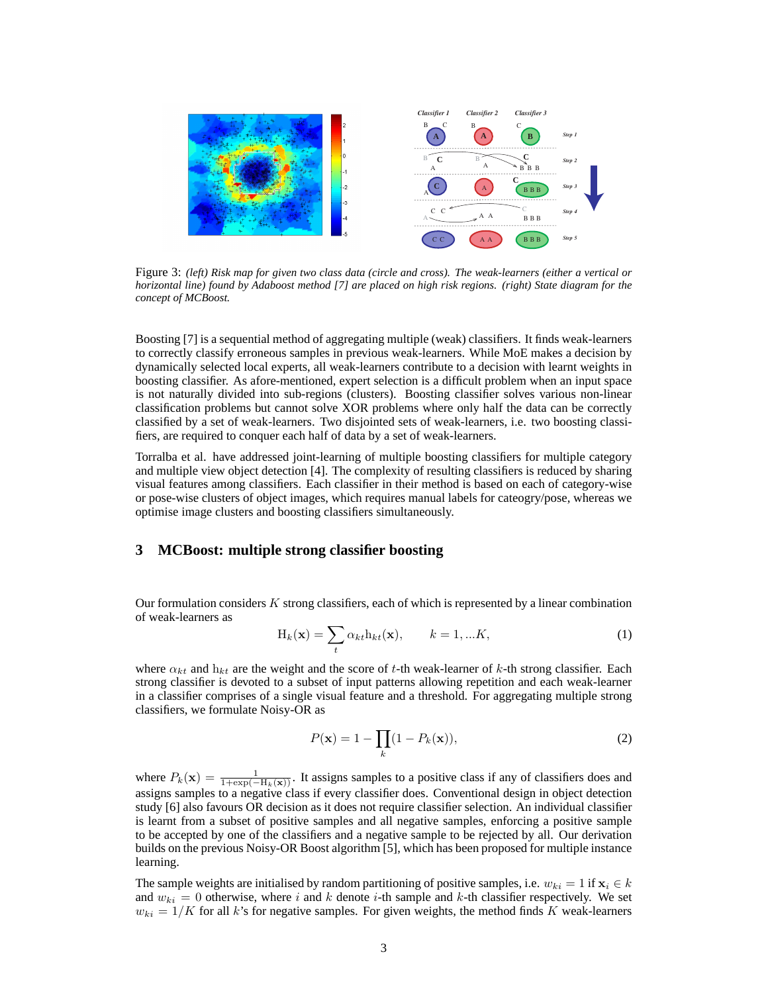

Figure 3: *(left) Risk map for given two class data (circle and cross). The weak-learners (either a vertical or horizontal line) found by Adaboost method [7] are placed on high risk regions. (right) State diagram for the concept of MCBoost.*

Boosting [7] is a sequential method of aggregating multiple (weak) classifiers. It finds weak-learners to correctly classify erroneous samples in previous weak-learners. While MoE makes a decision by dynamically selected local experts, all weak-learners contribute to a decision with learnt weights in boosting classifier. As afore-mentioned, expert selection is a difficult problem when an input space is not naturally divided into sub-regions (clusters). Boosting classifier solves various non-linear classification problems but cannot solve XOR problems where only half the data can be correctly classified by a set of weak-learners. Two disjointed sets of weak-learners, i.e. two boosting classifiers, are required to conquer each half of data by a set of weak-learners.

Torralba et al. have addressed joint-learning of multiple boosting classifiers for multiple category and multiple view object detection [4]. The complexity of resulting classifiers is reduced by sharing visual features among classifiers. Each classifier in their method is based on each of category-wise or pose-wise clusters of object images, which requires manual labels for cateogry/pose, whereas we optimise image clusters and boosting classifiers simultaneously.

### **3 MCBoost: multiple strong classifier boosting**

Our formulation considers  $K$  strong classifiers, each of which is represented by a linear combination of weak-learners as

$$
H_k(\mathbf{x}) = \sum_t \alpha_{kt} h_{kt}(\mathbf{x}), \qquad k = 1, ...K,
$$
 (1)

where  $\alpha_{kt}$  and  $h_{kt}$  are the weight and the score of t-th weak-learner of k-th strong classifier. Each strong classifier is devoted to a subset of input patterns allowing repetition and each weak-learner in a classifier comprises of a single visual feature and a threshold. For aggregating multiple strong classifiers, we formulate Noisy-OR as

$$
P(\mathbf{x}) = 1 - \prod_{k} (1 - P_k(\mathbf{x})),
$$
\n(2)

where  $P_k(\mathbf{x}) = \frac{1}{1 + \exp(-H_k(\mathbf{x}))}$ . It assigns samples to a positive class if any of classifiers does and assigns samples to a negative class if every classifier does. Conventional design in object detection study [6] also favours OR decision as it does not require classifier selection. An individual classifier is learnt from a subset of positive samples and all negative samples, enforcing a positive sample to be accepted by one of the classifiers and a negative sample to be rejected by all. Our derivation builds on the previous Noisy-OR Boost algorithm [5], which has been proposed for multiple instance learning.

The sample weights are initialised by random partitioning of positive samples, i.e.  $w_{ki} = 1$  if  $\mathbf{x}_i \in k$ and  $w_{ki} = 0$  otherwise, where i and k denote i-th sample and k-th classifier respectively. We set  $w_{ki} = 1/K$  for all k's for negative samples. For given weights, the method finds K weak-learners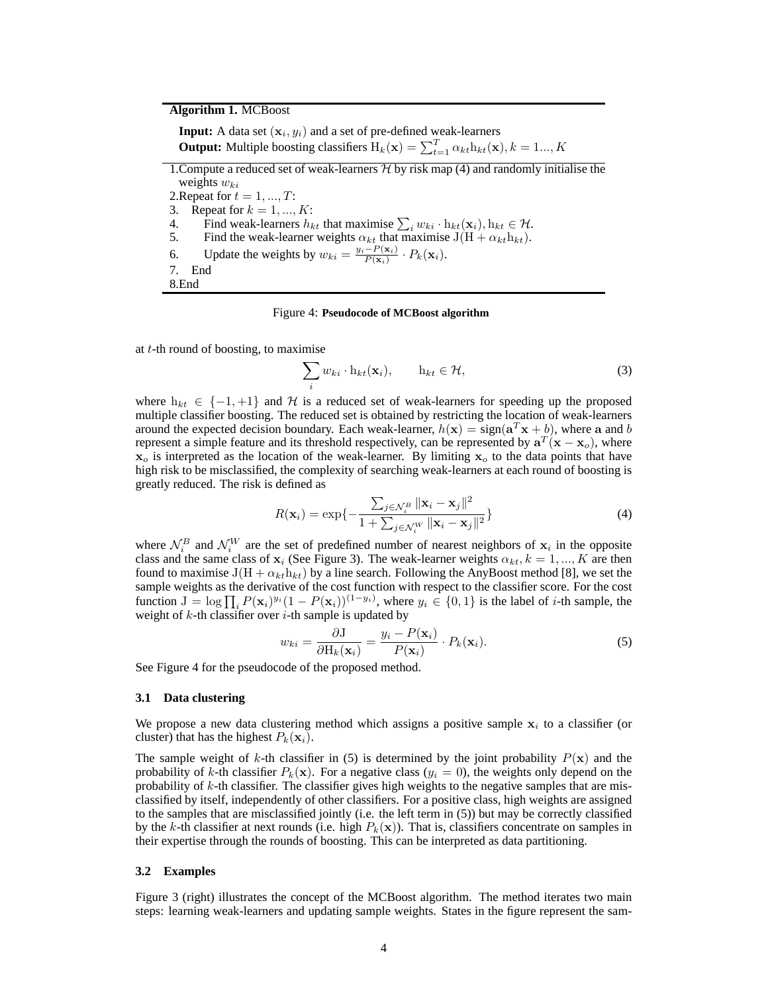# **Algorithm 1.** MCBoost

**Input:** A data set  $(x_i, y_i)$  and a set of pre-defined weak-learners **Output:** Multiple boosting classifiers  $H_k(\mathbf{x}) = \sum_{t=1}^T \alpha_{kt} h_{kt}(\mathbf{x}), k = 1...,K$ 1. Compute a reduced set of weak-learners  $H$  by risk map (4) and randomly initialise the weights  $w_{ki}$ 2. Repeat for  $t = 1, ..., T$ : 3. Repeat for  $k = 1, ..., K$ : 4. Find weak-learners  $h_{kt}$  that maximise  $\sum_i w_{ki} \cdot \mathbf{h}_{kt}(\mathbf{x}_i)$ ,  $\mathbf{h}_{kt} \in \mathcal{H}$ . 5. Find the weak-learner weights  $\alpha_{kt}$  that maximise  $J(H + \alpha_{kt}h_{kt})$ . 6. Update the weights by  $w_{ki} = \frac{y_i - P(\mathbf{x}_i)}{P(\mathbf{x}_i)}$  $\frac{-P(\mathbf{x}_i)}{P(\mathbf{x}_i)}\cdot P_k(\mathbf{x}_i).$ 

7. End 8.End

#### Figure 4: **Pseudocode of MCBoost algorithm**

at  $t$ -th round of boosting, to maximise

$$
\sum_{i} w_{ki} \cdot \mathbf{h}_{kt}(\mathbf{x}_i), \qquad \mathbf{h}_{kt} \in \mathcal{H}, \tag{3}
$$

where  $h_{kt} \in \{-1, +1\}$  and H is a reduced set of weak-learners for speeding up the proposed multiple classifier boosting. The reduced set is obtained by restricting the location of weak-learners around the expected decision boundary. Each weak-learner,  $h(\mathbf{x}) = \text{sign}(\mathbf{a}^T \mathbf{x} + b)$ , where a and b represent a simple feature and its threshold respectively, can be represented by  $a^T(x - x_0)$ , where  $x_0$  is interpreted as the location of the weak-learner. By limiting  $x_0$  to the data points that have high risk to be misclassified, the complexity of searching weak-learners at each round of boosting is greatly reduced. The risk is defined as

$$
R(\mathbf{x}_i) = \exp\{-\frac{\sum_{j \in \mathcal{N}_i^B} ||\mathbf{x}_i - \mathbf{x}_j||^2}{1 + \sum_{j \in \mathcal{N}_i^W} ||\mathbf{x}_i - \mathbf{x}_j||^2}\}\tag{4}
$$

where  $\mathcal{N}_i^B$  and  $\mathcal{N}_i^W$  are the set of predefined number of nearest neighbors of  $\mathbf{x}_i$  in the opposite class and the same class of  $x_i$  (See Figure 3). The weak-learner weights  $\alpha_{kt}$ ,  $k = 1, ..., K$  are then found to maximise  $J(H + \alpha_{kt}h_{kt})$  by a line search. Following the AnyBoost method [8], we set the sample weights as the derivative of the cost function with respect to the classifier score. For the cost function  $J = \log \prod_i P(\mathbf{x}_i)^{y_i} (1 - P(\mathbf{x}_i))^{(1-y_i)}$ , where  $y_i \in \{0, 1\}$  is the label of *i*-th sample, the weight of  $k$ -th classifier over  $i$ -th sample is updated by

$$
w_{ki} = \frac{\partial \mathbf{J}}{\partial \mathbf{H}_k(\mathbf{x}_i)} = \frac{y_i - P(\mathbf{x}_i)}{P(\mathbf{x}_i)} \cdot P_k(\mathbf{x}_i). \tag{5}
$$

See Figure 4 for the pseudocode of the proposed method.

#### **3.1 Data clustering**

We propose a new data clustering method which assigns a positive sample  $x_i$  to a classifier (or cluster) that has the highest  $P_k(\mathbf{x}_i)$ .

The sample weight of k-th classifier in (5) is determined by the joint probability  $P(x)$  and the probability of k-th classifier  $P_k(\mathbf{x})$ . For a negative class  $(y_i = 0)$ , the weights only depend on the probability of k-th classifier. The classifier gives high weights to the negative samples that are misclassified by itself, independently of other classifiers. For a positive class, high weights are assigned to the samples that are misclassified jointly (i.e. the left term in (5)) but may be correctly classified by the k-th classifier at next rounds (i.e. high  $P_k(\mathbf{x})$ ). That is, classifiers concentrate on samples in their expertise through the rounds of boosting. This can be interpreted as data partitioning.

#### **3.2 Examples**

Figure 3 (right) illustrates the concept of the MCBoost algorithm. The method iterates two main steps: learning weak-learners and updating sample weights. States in the figure represent the sam-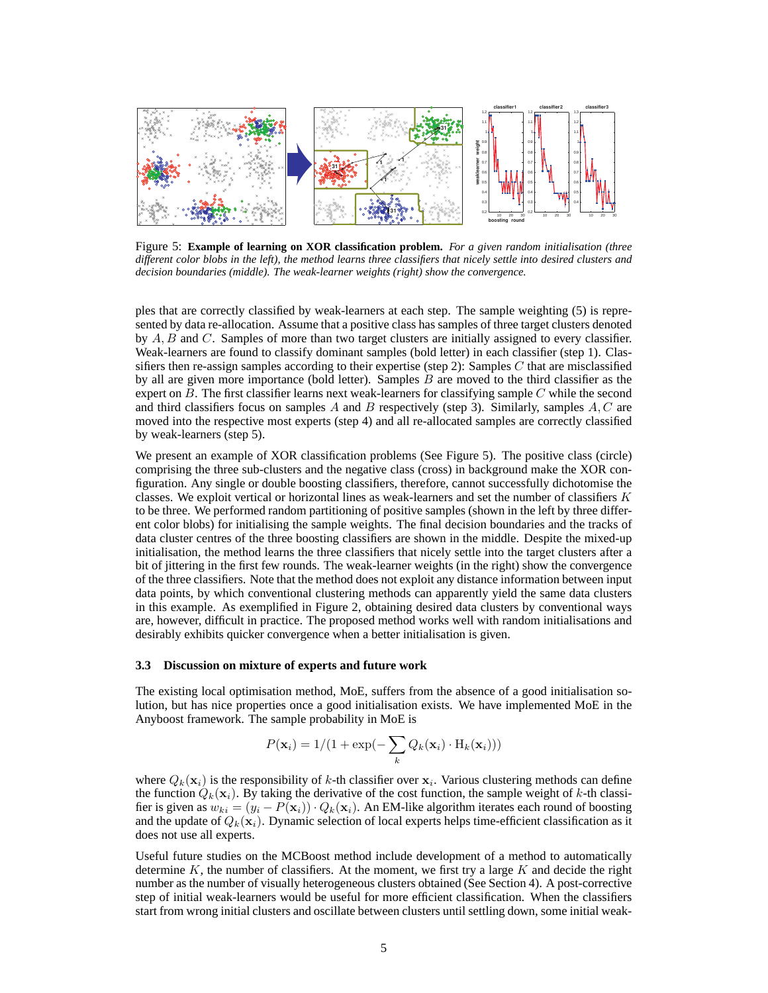

Figure 5: **Example of learning on XOR classification problem.** *For a given random initialisation (three different color blobs in the left), the method learns three classifiers that nicely settle into desired clusters and decision boundaries (middle). The weak-learner weights (right) show the convergence.*

ples that are correctly classified by weak-learners at each step. The sample weighting (5) is represented by data re-allocation. Assume that a positive class has samples of three target clusters denoted by  $A, B$  and  $C$ . Samples of more than two target clusters are initially assigned to every classifier. Weak-learners are found to classify dominant samples (bold letter) in each classifier (step 1). Classifiers then re-assign samples according to their expertise (step 2): Samples  $C$  that are misclassified by all are given more importance (bold letter). Samples  $B$  are moved to the third classifier as the expert on  $B$ . The first classifier learns next weak-learners for classifying sample  $C$  while the second and third classifiers focus on samples A and B respectively (step 3). Similarly, samples  $A, C$  are moved into the respective most experts (step 4) and all re-allocated samples are correctly classified by weak-learners (step 5).

We present an example of XOR classification problems (See Figure 5). The positive class (circle) comprising the three sub-clusters and the negative class (cross) in background make the XOR configuration. Any single or double boosting classifiers, therefore, cannot successfully dichotomise the classes. We exploit vertical or horizontal lines as weak-learners and set the number of classifiers  $K$ to be three. We performed random partitioning of positive samples (shown in the left by three different color blobs) for initialising the sample weights. The final decision boundaries and the tracks of data cluster centres of the three boosting classifiers are shown in the middle. Despite the mixed-up initialisation, the method learns the three classifiers that nicely settle into the target clusters after a bit of jittering in the first few rounds. The weak-learner weights (in the right) show the convergence of the three classifiers. Note that the method does not exploit any distance information between input data points, by which conventional clustering methods can apparently yield the same data clusters in this example. As exemplified in Figure 2, obtaining desired data clusters by conventional ways are, however, difficult in practice. The proposed method works well with random initialisations and desirably exhibits quicker convergence when a better initialisation is given.

### **3.3 Discussion on mixture of experts and future work**

The existing local optimisation method, MoE, suffers from the absence of a good initialisation solution, but has nice properties once a good initialisation exists. We have implemented MoE in the Anyboost framework. The sample probability in MoE is

$$
P(\mathbf{x}_i) = 1/(1 + \exp(-\sum_k Q_k(\mathbf{x}_i) \cdot \mathbf{H}_k(\mathbf{x}_i)))
$$

where  $Q_k(\mathbf{x}_i)$  is the responsibility of k-th classifier over  $\mathbf{x}_i$ . Various clustering methods can define the function  $Q_k(\mathbf{x}_i)$ . By taking the derivative of the cost function, the sample weight of k-th classifier is given as  $w_{ki} = (y_i - P(\mathbf{x}_i)) \cdot Q_k(\mathbf{x}_i)$ . An EM-like algorithm iterates each round of boosting and the update of  $Q_k(x_i)$ . Dynamic selection of local experts helps time-efficient classification as it does not use all experts.

Useful future studies on the MCBoost method include development of a method to automatically determine  $K$ , the number of classifiers. At the moment, we first try a large  $K$  and decide the right number as the number of visually heterogeneous clusters obtained (See Section 4). A post-corrective step of initial weak-learners would be useful for more efficient classification. When the classifiers start from wrong initial clusters and oscillate between clusters until settling down, some initial weak-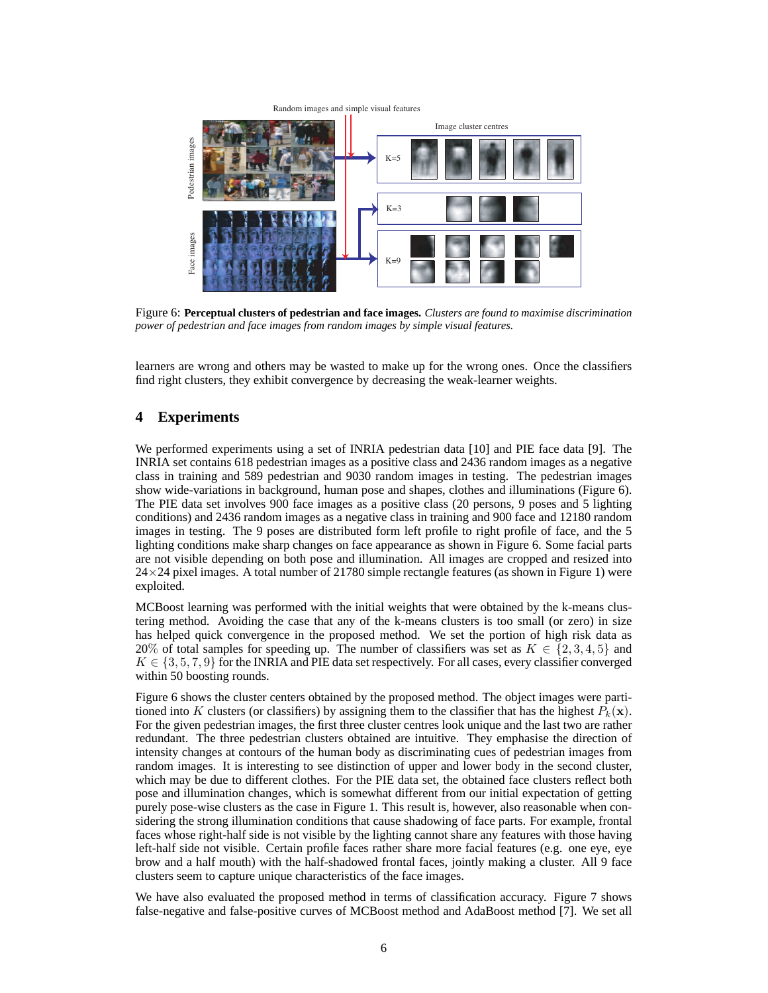

Figure 6: **Perceptual clusters of pedestrian and face images.** *Clusters are found to maximise discrimination power of pedestrian and face images from random images by simple visual features.*

learners are wrong and others may be wasted to make up for the wrong ones. Once the classifiers find right clusters, they exhibit convergence by decreasing the weak-learner weights.

# **4 Experiments**

We performed experiments using a set of INRIA pedestrian data [10] and PIE face data [9]. The INRIA set contains 618 pedestrian images as a positive class and 2436 random images as a negative class in training and 589 pedestrian and 9030 random images in testing. The pedestrian images show wide-variations in background, human pose and shapes, clothes and illuminations (Figure 6). The PIE data set involves 900 face images as a positive class (20 persons, 9 poses and 5 lighting conditions) and 2436 random images as a negative class in training and 900 face and 12180 random images in testing. The 9 poses are distributed form left profile to right profile of face, and the 5 lighting conditions make sharp changes on face appearance as shown in Figure 6. Some facial parts are not visible depending on both pose and illumination. All images are cropped and resized into  $24\times24$  pixel images. A total number of 21780 simple rectangle features (as shown in Figure 1) were exploited.

MCBoost learning was performed with the initial weights that were obtained by the k-means clustering method. Avoiding the case that any of the k-means clusters is too small (or zero) in size has helped quick convergence in the proposed method. We set the portion of high risk data as 20% of total samples for speeding up. The number of classifiers was set as  $K \in \{2, 3, 4, 5\}$  and  $K \in \{3, 5, 7, 9\}$  for the INRIA and PIE data set respectively. For all cases, every classifier converged within 50 boosting rounds.

Figure 6 shows the cluster centers obtained by the proposed method. The object images were partitioned into K clusters (or classifiers) by assigning them to the classifier that has the highest  $P_k(\mathbf{x})$ . For the given pedestrian images, the first three cluster centres look unique and the last two are rather redundant. The three pedestrian clusters obtained are intuitive. They emphasise the direction of intensity changes at contours of the human body as discriminating cues of pedestrian images from random images. It is interesting to see distinction of upper and lower body in the second cluster, which may be due to different clothes. For the PIE data set, the obtained face clusters reflect both pose and illumination changes, which is somewhat different from our initial expectation of getting purely pose-wise clusters as the case in Figure 1. This result is, however, also reasonable when considering the strong illumination conditions that cause shadowing of face parts. For example, frontal faces whose right-half side is not visible by the lighting cannot share any features with those having left-half side not visible. Certain profile faces rather share more facial features (e.g. one eye, eye brow and a half mouth) with the half-shadowed frontal faces, jointly making a cluster. All 9 face clusters seem to capture unique characteristics of the face images.

We have also evaluated the proposed method in terms of classification accuracy. Figure 7 shows false-negative and false-positive curves of MCBoost method and AdaBoost method [7]. We set all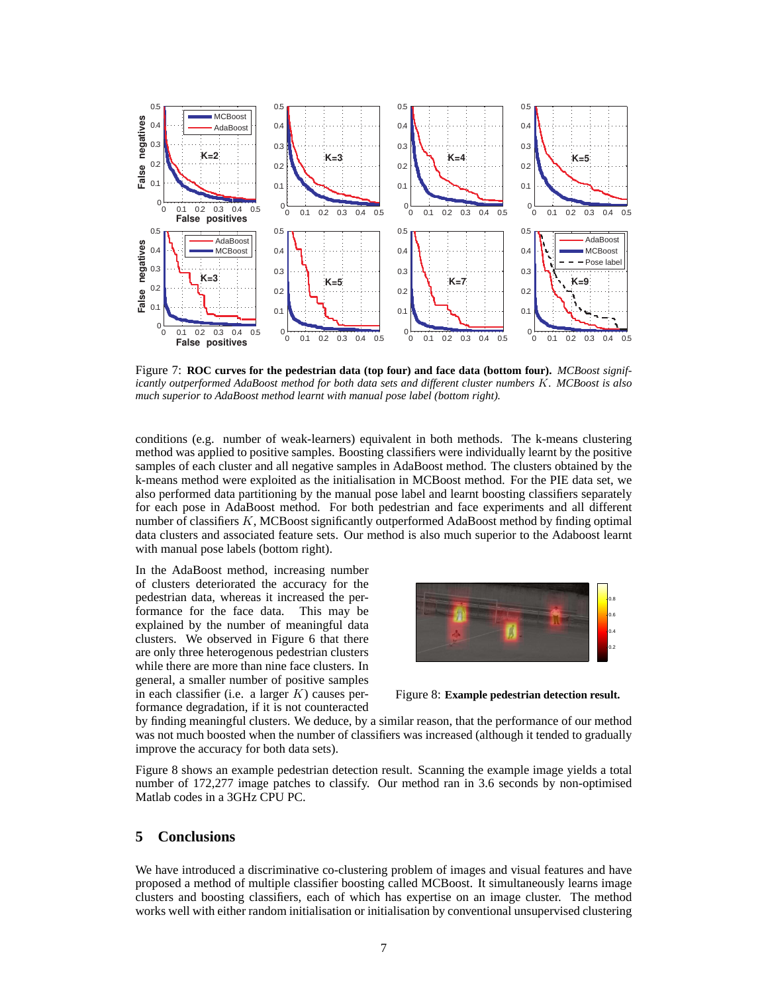

Figure 7: **ROC curves for the pedestrian data (top four) and face data (bottom four).** *MCBoost significantly outperformed AdaBoost method for both data sets and different cluster numbers* K*. MCBoost is also much superior to AdaBoost method learnt with manual pose label (bottom right).*

conditions (e.g. number of weak-learners) equivalent in both methods. The k-means clustering method was applied to positive samples. Boosting classifiers were individually learnt by the positive samples of each cluster and all negative samples in AdaBoost method. The clusters obtained by the k-means method were exploited as the initialisation in MCBoost method. For the PIE data set, we also performed data partitioning by the manual pose label and learnt boosting classifiers separately for each pose in AdaBoost method. For both pedestrian and face experiments and all different number of classifiers K, MCBoost significantly outperformed AdaBoost method by finding optimal data clusters and associated feature sets. Our method is also much superior to the Adaboost learnt with manual pose labels (bottom right).

In the AdaBoost method, increasing number of clusters deteriorated the accuracy for the pedestrian data, whereas it increased the performance for the face data. This may be explained by the number of meaningful data clusters. We observed in Figure 6 that there are only three heterogenous pedestrian clusters while there are more than nine face clusters. In general, a smaller number of positive samples in each classifier (i.e. a larger  $K$ ) causes performance degradation, if it is not counteracted



Figure 8: **Example pedestrian detection result.**

by finding meaningful clusters. We deduce, by a similar reason, that the performance of our method was not much boosted when the number of classifiers was increased (although it tended to gradually improve the accuracy for both data sets).

Figure 8 shows an example pedestrian detection result. Scanning the example image yields a total number of 172,277 image patches to classify. Our method ran in 3.6 seconds by non-optimised Matlab codes in a 3GHz CPU PC.

## **5 Conclusions**

We have introduced a discriminative co-clustering problem of images and visual features and have proposed a method of multiple classifier boosting called MCBoost. It simultaneously learns image clusters and boosting classifiers, each of which has expertise on an image cluster. The method works well with either random initialisation or initialisation by conventional unsupervised clustering